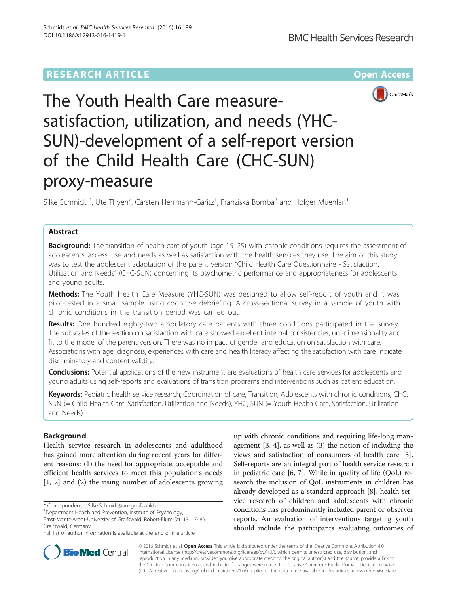## **RESEARCH ARTICLE Example 2014 12:30 The Community Community Community Community Community Community Community**



# The Youth Health Care measuresatisfaction, utilization, and needs (YHC-SUN)-development of a self-report version of the Child Health Care (CHC-SUN) proxy-measure

Silke Schmidt<sup>1\*</sup>, Ute Thyen<sup>2</sup>, Carsten Herrmann-Garitz<sup>1</sup>, Franziska Bomba<sup>2</sup> and Holger Muehlan<sup>1</sup>

## Abstract

**Background:** The transition of health care of youth (age 15–25) with chronic conditions requires the assessment of adolescents' access, use and needs as well as satisfaction with the health services they use. The aim of this study was to test the adolescent adaptation of the parent version "Child Health Care Questionnaire - Satisfaction, Utilization and Needs" (CHC-SUN) concerning its psychometric performance and appropriateness for adolescents and young adults.

Methods: The Youth Health Care Measure (YHC-SUN) was designed to allow self-report of youth and it was pilot-tested in a small sample using cognitive debriefing. A cross-sectional survey in a sample of youth with chronic conditions in the transition period was carried out.

Results: One hundred eighty-two ambulatory care patients with three conditions participated in the survey. The subscales of the section on satisfaction with care showed excellent internal consistencies, uni-dimensionality and fit to the model of the parent version. There was no impact of gender and education on satisfaction with care. Associations with age, diagnosis, experiences with care and health literacy affecting the satisfaction with care indicate discriminatory and content validity.

**Conclusions:** Potential applications of the new instrument are evaluations of health care services for adolescents and young adults using self-reports and evaluations of transition programs and interventions such as patient education.

Keywords: Pediatric health service research, Coordination of care, Transition, Adolescents with chronic conditions, CHC, SUN (= Child Health Care, Satisfaction, Utilization and Needs), YHC, SUN (= Youth Health Care, Satisfaction, Utilization and Needs)

## **Background**

Health service research in adolescents and adulthood has gained more attention during recent years for different reasons: (1) the need for appropriate, acceptable and efficient health services to meet this population's needs [1, 2] and (2) the rising number of adolescents growing

up with chronic conditions and requiring life-long management [3, 4], as well as (3) the notion of including the views and satisfaction of consumers of health care [5]. Self-reports are an integral part of health service research in pediatric care [6, 7]. While in quality of life (QoL) research the inclusion of QoL instruments in children has already developed as a standard approach [8], health service research of children and adolescents with chronic conditions has predominantly included parent or observer reports. An evaluation of interventions targeting youth should include the participants evaluating outcomes of



© 2016 Schmidt et al. Open Access This article is distributed under the terms of the Creative Commons Attribution 4.0 International License (http://creativecommons.org/licenses/by/4.0/), which permits unrestricted use, distribution, and reproduction in any medium, provided you give appropriate credit to the original author(s) and the source, provide a link to the Creative Commons license, and indicate if changes were made. The Creative Commons Public Domain Dedication waiver (http://creativecommons.org/publicdomain/zero/1.0/) applies to the data made available in this article, unless otherwise stated.

<sup>\*</sup> Correspondence: Silke.Schmidt@uni-greifswald.de <sup>1</sup>

<sup>&</sup>lt;sup>1</sup>Department Health and Prevention, Institute of Psychology,

Ernst-Moritz-Arndt-University of Greifswald, Robert-Blum-Str. 13, 17489 Greifswald, Germany

Full list of author information is available at the end of the article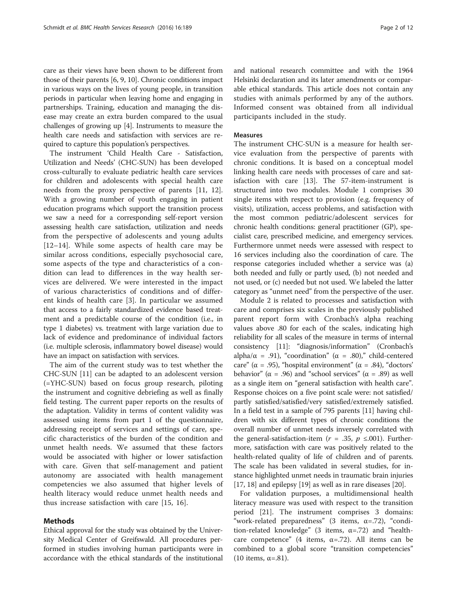care as their views have been shown to be different from those of their parents [6, 9, 10]. Chronic conditions impact in various ways on the lives of young people, in transition periods in particular when leaving home and engaging in partnerships. Training, education and managing the disease may create an extra burden compared to the usual challenges of growing up [4]. Instruments to measure the health care needs and satisfaction with services are required to capture this population's perspectives.

The instrument 'Child Health Care - Satisfaction, Utilization and Needs' (CHC-SUN) has been developed cross-culturally to evaluate pediatric health care services for children and adolescents with special health care needs from the proxy perspective of parents [11, 12]. With a growing number of youth engaging in patient education programs which support the transition process we saw a need for a corresponding self-report version assessing health care satisfaction, utilization and needs from the perspective of adolescents and young adults [12–14]. While some aspects of health care may be similar across conditions, especially psychosocial care, some aspects of the type and characteristics of a condition can lead to differences in the way health services are delivered. We were interested in the impact of various characteristics of conditions and of different kinds of health care [3]. In particular we assumed that access to a fairly standardized evidence based treatment and a predictable course of the condition (i.e., in type 1 diabetes) vs. treatment with large variation due to lack of evidence and predominance of individual factors (i.e. multiple sclerosis, inflammatory bowel disease) would have an impact on satisfaction with services.

The aim of the current study was to test whether the CHC-SUN [11] can be adapted to an adolescent version (=YHC-SUN) based on focus group research, piloting the instrument and cognitive debriefing as well as finally field testing. The current paper reports on the results of the adaptation. Validity in terms of content validity was assessed using items from part 1 of the questionnaire, addressing receipt of services and settings of care, specific characteristics of the burden of the condition and unmet health needs. We assumed that these factors would be associated with higher or lower satisfaction with care. Given that self-management and patient autonomy are associated with health management competencies we also assumed that higher levels of health literacy would reduce unmet health needs and thus increase satisfaction with care [15, 16].

## Methods

Ethical approval for the study was obtained by the University Medical Center of Greifswald. All procedures performed in studies involving human participants were in accordance with the ethical standards of the institutional

and national research committee and with the 1964 Helsinki declaration and its later amendments or comparable ethical standards. This article does not contain any studies with animals performed by any of the authors. Informed consent was obtained from all individual participants included in the study.

## Measures

The instrument CHC-SUN is a measure for health service evaluation from the perspective of parents with chronic conditions. It is based on a conceptual model linking health care needs with processes of care and satisfaction with care [13]. The 57-item-instrument is structured into two modules. Module 1 comprises 30 single items with respect to provision (e.g. frequency of visits), utilization, access problems, and satisfaction with the most common pediatric/adolescent services for chronic health conditions: general practitioner (GP), specialist care, prescribed medicine, and emergency services. Furthermore unmet needs were assessed with respect to 16 services including also the coordination of care. The response categories included whether a service was (a) both needed and fully or partly used, (b) not needed and not used, or (c) needed but not used. We labeled the latter category as "unmet need" from the perspective of the user.

Module 2 is related to processes and satisfaction with care and comprises six scales in the previously published parent report form with Cronbach's alpha reaching values above .80 for each of the scales, indicating high reliability for all scales of the measure in terms of internal consistency [11]: "diagnosis/information" (Cronbach's alpha/ $\alpha$  = .91), "coordination" ( $\alpha$  = .80)," child-centered care" ( $\alpha$  = .95), "hospital environment" ( $\alpha$  = .84), "doctors' behavior" ( $\alpha$  = .96) and "school services" ( $\alpha$  = .89) as well as a single item on "general satisfaction with health care". Response choices on a five point scale were: not satisfied/ partly satisfied/satisfied/very satisfied/extremely satisfied. In a field test in a sample of 795 parents [11] having children with six different types of chronic conditions the overall number of unmet needs inversely correlated with the general-satisfaction-item ( $r = .35$ ,  $p \le 0.001$ ). Furthermore, satisfaction with care was positively related to the health-related quality of life of children and of parents. The scale has been validated in several studies, for instance highlighted unmet needs in traumatic brain injuries [17, 18] and epilepsy [19] as well as in rare diseases [20].

For validation purposes, a multidimensional health literacy measure was used with respect to the transition period [21]. The instrument comprises 3 domains: "work-related preparedness" (3 items, α=.72), "condition-related knowledge" (3 items,  $\alpha$ =.72) and "healthcare competence" (4 items,  $\alpha$ =.72). All items can be combined to a global score "transition competencies" (10 items,  $\alpha$ =.81).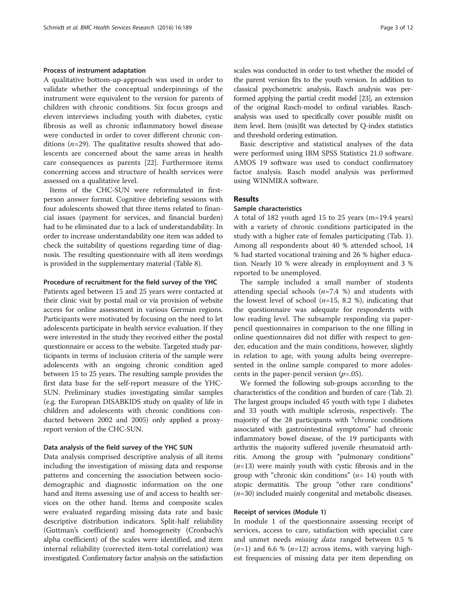## Process of instrument adaptation

A qualitative bottom-up-approach was used in order to validate whether the conceptual underpinnings of the instrument were equivalent to the version for parents of children with chronic conditions. Six focus groups and eleven interviews including youth with diabetes, cystic fibrosis as well as chronic inflammatory bowel disease were conducted in order to cover different chronic conditions  $(n=29)$ . The qualitative results showed that adolescents are concerned about the same areas in health care consequences as parents [22]. Furthermore items concerning access and structure of health services were assessed on a qualitative level.

Items of the CHC-SUN were reformulated in firstperson answer format. Cognitive debriefing sessions with four adolescents showed that three items related to financial issues (payment for services, and financial burden) had to be eliminated due to a lack of understandability. In order to increase understandability one item was added to check the suitability of questions regarding time of diagnosis. The resulting questionnaire with all item wordings is provided in the supplementary material (Table 8).

## Procedure of recruitment for the field survey of the YHC

Patients aged between 15 and 25 years were contacted at their clinic visit by postal mail or via provision of website access for online assessment in various German regions. Participants were motivated by focusing on the need to let adolescents participate in health service evaluation. If they were interested in the study they received either the postal questionnaire or access to the website. Targeted study participants in terms of inclusion criteria of the sample were adolescents with an ongoing chronic condition aged between 15 to 25 years. The resulting sample provides the first data base for the self-report measure of the YHC-SUN. Preliminary studies investigating similar samples (e.g. the European DISABKIDS study on quality of life in children and adolescents with chronic conditions conducted between 2002 and 2005) only applied a proxyreport version of the CHC-SUN.

## Data analysis of the field survey of the YHC SUN

Data analysis comprised descriptive analysis of all items including the investigation of missing data and response patterns and concerning the association between sociodemographic and diagnostic information on the one hand and items assessing use of and access to health services on the other hand. Items and composite scales were evaluated regarding missing data rate and basic descriptive distribution indicators. Split-half reliability (Guttman's coefficient) and homogeneity (Cronbach's alpha coefficient) of the scales were identified, and item internal reliability (corrected item-total correlation) was investigated. Confirmatory factor analysis on the satisfaction

scales was conducted in order to test whether the model of the parent version fits to the youth version. In addition to classical psychometric analysis, Rasch analysis was performed applying the partial credit model [23], an extension of the original Rasch-model to ordinal variables. Raschanalysis was used to specifically cover possible misfit on item level. Item (mis)fit was detected by Q-index statistics and threshold ordering estimation.

Basic descriptive and statistical analyses of the data were performed using IBM SPSS Statistics 21.0 software. AMOS 19 software was used to conduct confirmatory factor analysis. Rasch model analysis was performed using WINMIRA software.

## Results

## Sample characteristics

A total of 182 youth aged 15 to 25 years (m=19.4 years) with a variety of chronic conditions participated in the study with a higher rate of females participating (Tab. 1). Among all respondents about 40 % attended school, 14 % had started vocational training and 26 % higher education. Nearly 10 % were already in employment and 3 % reported to be unemployed.

The sample included a small number of students attending special schools  $(n=7.4 %$ ) and students with the lowest level of school  $(n=15, 8.2, 8)$ , indicating that the questionnaire was adequate for respondents with low reading level. The subsample responding via paperpencil questionnaires in comparison to the one filling in online questionnaires did not differ with respect to gender, education and the main conditions, however, slightly in relation to age, with young adults being overrepresented in the online sample compared to more adolescents in the paper-pencil version  $(p=.05)$ .

We formed the following sub-groups according to the characteristics of the condition and burden of care (Tab. 2). The largest groups included 45 youth with type 1 diabetes and 33 youth with multiple sclerosis, respectively. The majority of the 28 participants with "chronic conditions associated with gastrointestinal symptoms" had chronic inflammatory bowel disease, of the 19 participants with arthritis the majority suffered juvenile rheumatoid arthritis. Among the group with "pulmonary conditions"  $(n=13)$  were mainly youth with cystic fibrosis and in the group with "chronic skin conditions" ( $n=14$ ) youth with atopic dermatitis. The group "other rare conditions"  $(n=30)$  included mainly congenital and metabolic diseases.

## Receipt of services (Module 1)

In module 1 of the questionnaire assessing receipt of services, access to care, satisfaction with specialist care and unmet needs missing data ranged between 0.5 %  $(n=1)$  and 6.6 %  $(n=12)$  across items, with varying highest frequencies of missing data per item depending on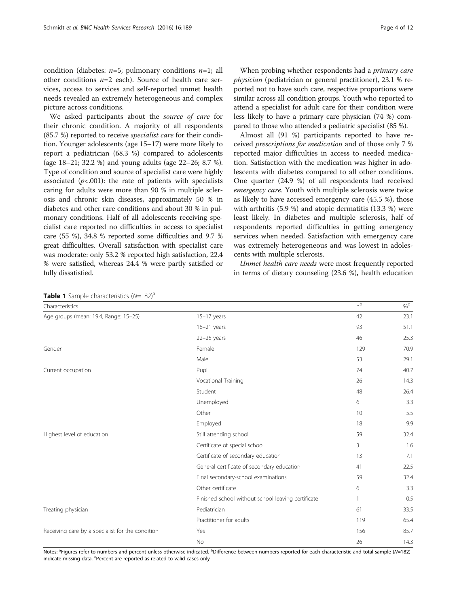condition (diabetes:  $n=5$ ; pulmonary conditions  $n=1$ ; all other conditions  $n=2$  each). Source of health care services, access to services and self-reported unmet health needs revealed an extremely heterogeneous and complex picture across conditions.

We asked participants about the source of care for their chronic condition. A majority of all respondents (85.7 %) reported to receive specialist care for their condition. Younger adolescents (age 15–17) were more likely to report a pediatrician (68.3 %) compared to adolescents (age 18–21; 32.2 %) and young adults (age 22–26; 8.7 %). Type of condition and source of specialist care were highly associated ( $p$ <.001): the rate of patients with specialists caring for adults were more than 90 % in multiple sclerosis and chronic skin diseases, approximately 50 % in diabetes and other rare conditions and about 30 % in pulmonary conditions. Half of all adolescents receiving specialist care reported no difficulties in access to specialist care (55 %), 34.8 % reported some difficulties and 9.7 % great difficulties. Overall satisfaction with specialist care was moderate: only 53.2 % reported high satisfaction, 22.4 % were satisfied, whereas 24.4 % were partly satisfied or fully dissatisfied.

When probing whether respondents had a *primary care* physician (pediatrician or general practitioner), 23.1 % reported not to have such care, respective proportions were similar across all condition groups. Youth who reported to attend a specialist for adult care for their condition were less likely to have a primary care physician (74 %) compared to those who attended a pediatric specialist (85 %).

Almost all (91 %) participants reported to have received prescriptions for medication and of those only 7 % reported major difficulties in access to needed medication. Satisfaction with the medication was higher in adolescents with diabetes compared to all other conditions. One quarter (24.9 %) of all respondents had received emergency care. Youth with multiple sclerosis were twice as likely to have accessed emergency care (45.5 %), those with arthritis (5.9 %) and atopic dermatitis (13.3 %) were least likely. In diabetes and multiple sclerosis, half of respondents reported difficulties in getting emergency services when needed. Satisfaction with emergency care was extremely heterogeneous and was lowest in adolescents with multiple sclerosis.

Unmet health care needs were most frequently reported in terms of dietary counseling (23.6 %), health education

Table 1 Sample characteristics  $(N=182)^{a}$ 

| Characteristics                                  |                                                    | $n^{b}$ | $\%^{\mathsf{C}}$ |
|--------------------------------------------------|----------------------------------------------------|---------|-------------------|
| Age groups (mean: 19.4, Range: 15-25)            | $15-17$ years                                      | 42      | 23.1              |
|                                                  | 18-21 years                                        | 93      | 51.1              |
|                                                  | $22-25$ years                                      | 46      | 25.3              |
| Gender                                           | Female                                             | 129     | 70.9              |
|                                                  | Male                                               | 53      | 29.1              |
| Current occupation                               | Pupil                                              | 74      | 40.7              |
|                                                  | Vocational Training                                | 26      | 14.3              |
|                                                  | Student                                            | 48      | 26.4              |
|                                                  | Unemployed                                         | 6       | 3.3               |
|                                                  | Other                                              | 10      | 5.5               |
|                                                  | Employed                                           | 18      | 9.9               |
| Highest level of education                       | Still attending school                             | 59      | 32.4              |
|                                                  | Certificate of special school                      | 3       | 1.6               |
|                                                  | Certificate of secondary education                 | 13      | 7.1               |
|                                                  | General certificate of secondary education         | 41      | 22.5              |
|                                                  | Final secondary-school examinations                | 59      | 32.4              |
|                                                  | Other certificate                                  | 6       | 3.3               |
|                                                  | Finished school without school leaving certificate |         | 0.5               |
| Treating physician                               | Pediatrician                                       | 61      | 33.5              |
|                                                  | Practitioner for adults                            | 119     | 65.4              |
| Receiving care by a specialist for the condition | Yes                                                | 156     | 85.7              |
|                                                  | <b>No</b>                                          | 26      | 14.3              |

Notes: <sup>a</sup>Figures refer to numbers and percent unless otherwise indicated. <sup>b</sup>Difference between numbers reported for each characteristic and total sample (N=182) indicate missing data. <sup>c</sup>Percent are reported as related to valid cases only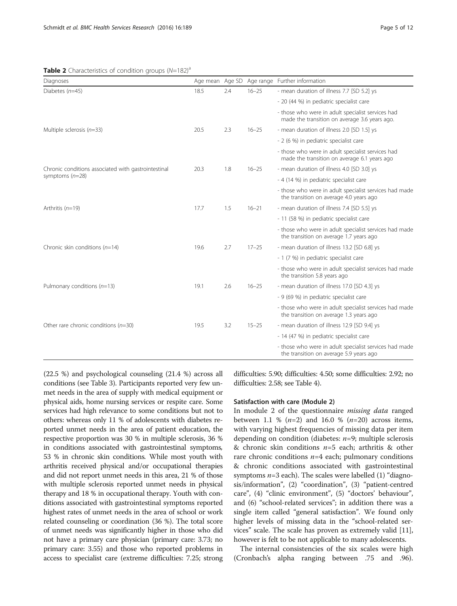## **Table 2** Characteristics of condition groups  $(N=182)^{a}$

| Diagnoses                                           |      |     |           | Age mean Age SD Age range Further information                                                      |
|-----------------------------------------------------|------|-----|-----------|----------------------------------------------------------------------------------------------------|
| Diabetes $(n=45)$                                   | 18.5 | 2.4 | $16 - 25$ | - mean duration of illness 7.7 [SD 5.2] ys                                                         |
|                                                     |      |     |           | - 20 (44 %) in pediatric specialist care                                                           |
|                                                     |      |     |           | - those who were in adult specialist services had<br>made the transition on average 3.6 years ago. |
| Multiple sclerosis $(n=33)$                         | 20.5 | 2.3 | $16 - 25$ | - mean duration of illness 2.0 [SD 1.5] ys                                                         |
|                                                     |      |     |           | - 2 (6 %) in pediatric specialist care                                                             |
|                                                     |      |     |           | - those who were in adult specialist services had<br>made the transition on average 6.1 years ago  |
| Chronic conditions associated with gastrointestinal | 20.3 | 1.8 | $16 - 25$ | - mean duration of illness 4.0 [SD 3.0] ys                                                         |
| symptoms $(n=28)$                                   |      |     |           | - 4 (14 %) in pediatric specialist care                                                            |
|                                                     |      |     |           | - those who were in adult specialist services had made<br>the transition on average 4.0 years ago  |
| Arthritis $(n=19)$                                  | 17.7 | 1.5 | $16 - 21$ | - mean duration of illness 7.4 [SD 5.5] ys                                                         |
|                                                     |      |     |           | - 11 (58 %) in pediatric specialist care                                                           |
|                                                     |      |     |           | - those who were in adult specialist services had made<br>the transition on average 1.7 years ago  |
| Chronic skin conditions $(n=14)$                    | 19.6 | 2.7 | $17 - 25$ | - mean duration of illness 13.2 [SD 6.8] ys                                                        |
|                                                     |      |     |           | - 1 (7 %) in pediatric specialist care                                                             |
|                                                     |      |     |           | - those who were in adult specialist services had made<br>the transition 5.8 years ago             |
| Pulmonary conditions $(n=13)$                       | 19.1 | 2.6 | $16 - 25$ | - mean duration of illness 17.0 [SD 4.3] ys                                                        |
|                                                     |      |     |           | - 9 (69 %) in pediatric specialist care                                                            |
|                                                     |      |     |           | - those who were in adult specialist services had made<br>the transition on average 1.3 years ago  |
| Other rare chronic conditions $(n=30)$              | 19.5 | 3.2 | $15 - 25$ | - mean duration of illness 12.9 [SD 9.4] ys                                                        |
|                                                     |      |     |           | - 14 (47 %) in pediatric specialist care                                                           |
|                                                     |      |     |           | - those who were in adult specialist services had made<br>the transition on average 5.9 years ago  |

(22.5 %) and psychological counseling (21.4 %) across all conditions (see Table 3). Participants reported very few unmet needs in the area of supply with medical equipment or physical aids, home nursing services or respite care. Some services had high relevance to some conditions but not to others: whereas only 11 % of adolescents with diabetes reported unmet needs in the area of patient education, the respective proportion was 30 % in multiple sclerosis, 36 % in conditions associated with gastrointestinal symptoms, 53 % in chronic skin conditions. While most youth with arthritis received physical and/or occupational therapies and did not report unmet needs in this area, 21 % of those with multiple sclerosis reported unmet needs in physical therapy and 18 % in occupational therapy. Youth with conditions associated with gastrointestinal symptoms reported highest rates of unmet needs in the area of school or work related counseling or coordination (36 %). The total score of unmet needs was significantly higher in those who did not have a primary care physician (primary care: 3.73; no primary care: 3.55) and those who reported problems in access to specialist care (extreme difficulties: 7.25; strong difficulties: 5.90; difficulties: 4.50; some difficulties: 2.92; no difficulties: 2.58; see Table 4).

## Satisfaction with care (Module 2)

In module 2 of the questionnaire missing data ranged between 1.1 %  $(n=2)$  and 16.0 %  $(n=20)$  across items, with varying highest frequencies of missing data per item depending on condition (diabetes:  $n=9$ ; multiple sclerosis & chronic skin conditions  $n=5$  each; arthritis & other rare chronic conditions  $n=4$  each; pulmonary conditions & chronic conditions associated with gastrointestinal symptoms  $n=3$  each). The scales were labelled (1) "diagnosis/information", (2) "coordination", (3) "patient-centred care", (4) "clinic environment", (5) "doctors' behaviour", and (6) "school-related services"; in addition there was a single item called "general satisfaction". We found only higher levels of missing data in the "school-related services" scale. The scale has proven as extremely valid [11], however is felt to be not applicable to many adolescents.

The internal consistencies of the six scales were high (Cronbach's alpha ranging between .75 and .96).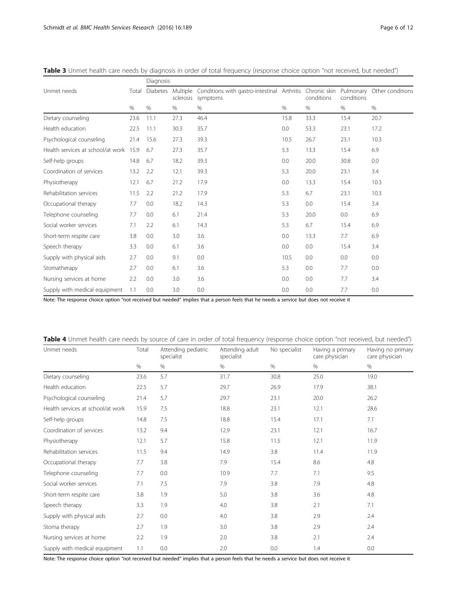|                                        |       | Diagnosis       |                       |                                                         |      |                            |            |                            |  |
|----------------------------------------|-------|-----------------|-----------------------|---------------------------------------------------------|------|----------------------------|------------|----------------------------|--|
| Unmet needs                            | Total | <b>Diabetes</b> | Multiple<br>sclerosis | Conditions with gastro-intestinal Arthritis<br>symptoms |      | Chronic skin<br>conditions | conditions | Pulmonary Other conditions |  |
|                                        | $\%$  | %               | $\%$                  | %                                                       | %    | $\%$                       | %          | $\%$                       |  |
| Dietary counseling                     | 23.6  | 11.1            | 27.3                  | 46.4                                                    | 15.8 | 33.3                       | 15.4       | 20.7                       |  |
| Health education                       | 22.5  | 11.1            | 30.3                  | 35.7                                                    | 0.0  | 53.3                       | 23.1       | 17.2                       |  |
| Psychological counseling               | 21.4  | 15.6            | 27.3                  | 39.3                                                    | 10.5 | 26.7                       | 23.1       | 10.3                       |  |
| Health services at school/at work 15.9 |       | 6.7             | 27.3                  | 35.7                                                    | 5.3  | 13.3                       | 15.4       | 6.9                        |  |
| Self-help groups                       | 14.8  | 6.7             | 18.2                  | 39.3                                                    | 0.0  | 20.0                       | 30.8       | 0.0                        |  |
| Coordination of services               | 13.2  | 2.2             | 12.1                  | 39.3                                                    | 5.3  | 20.0                       | 23.1       | 3.4                        |  |
| Physiotherapy                          | 12.1  | 6.7             | 21.2                  | 17.9                                                    | 0.0  | 13.3                       | 15.4       | 10.3                       |  |
| Rehabilitation services                | 11.5  | 2.2             | 21.2                  | 17.9                                                    | 5.3  | 6.7                        | 23.1       | 10.3                       |  |
| Occupational therapy                   | 7.7   | 0.0             | 18.2                  | 14.3                                                    | 5.3  | 0.0                        | 15.4       | 3.4                        |  |
| Telephone counseling                   | 7.7   | 0.0             | 6.1                   | 21.4                                                    | 5.3  | 20.0                       | 0.0        | 6.9                        |  |
| Social worker services                 | 7.1   | 2.2             | 6.1                   | 14.3                                                    | 5.3  | 6.7                        | 15.4       | 6.9                        |  |
| Short-term respite care                | 3.8   | 0.0             | 3.0                   | 3.6                                                     | 0.0  | 13.3                       | 7.7        | 6.9                        |  |
| Speech therapy                         | 3.3   | 0.0             | 6.1                   | 3.6                                                     | 0.0  | 0.0                        | 15.4       | 3.4                        |  |
| Supply with physical aids              | 2.7   | 0.0             | 9.1                   | 0.0                                                     | 10.5 | 0.0                        | 0.0        | 0.0                        |  |
| Stomatherapy                           | 2.7   | 0.0             | 6.1                   | 3.6                                                     | 5.3  | 0.0                        | 7.7        | 0.0                        |  |
| Nursing services at home               | 2.2   | 0.0             | 3.0                   | 3.6                                                     | 0.0  | 0.0                        | 7.7        | 3.4                        |  |
| Supply with medical equipment          | 1.1   | 0.0             | 3.0                   | 0.0                                                     | 0.0  | 0.0                        | 7.7        | 0.0                        |  |

Table 3 Unmet health care needs by diagnosis in order of total frequency (response choice option "not received, but needed")

Note: The response choice option "not received but needed" implies that a person feels that he needs a service but does not receive it

| Table 4 Unmet health care needs by source of care in order of total frequency (response choice option "not received, but needed") |  |  |
|-----------------------------------------------------------------------------------------------------------------------------------|--|--|
|-----------------------------------------------------------------------------------------------------------------------------------|--|--|

| Unmet needs                       | Total | Attending pediatric<br>specialist | Attending adult<br>specialist | No specialist | Having a primary<br>care physician | Having no primary<br>care physician |
|-----------------------------------|-------|-----------------------------------|-------------------------------|---------------|------------------------------------|-------------------------------------|
|                                   | %     | %                                 | %                             | %             | $\%$                               | $\%$                                |
| Dietary counseling                | 23.6  | 5.7                               | 31.7                          | 30.8          | 25.0                               | 19.0                                |
| Health education                  | 22.5  | 5.7                               | 29.7                          | 26.9          | 17.9                               | 38.1                                |
| Psychological counseling          | 21.4  | 5.7                               | 29.7                          | 23.1          | 20.0                               | 26.2                                |
| Health services at school/at work | 15.9  | 7.5                               | 18.8                          | 23.1          | 12.1                               | 28.6                                |
| Self-help groups                  | 14.8  | 7.5                               | 18.8                          | 15.4          | 17.1                               | 7.1                                 |
| Coordination of services          | 13.2  | 9.4                               | 12.9                          | 23.1          | 12.1                               | 16.7                                |
| Physiotherapy                     | 12.1  | 5.7                               | 15.8                          | 11.5          | 12.1                               | 11.9                                |
| Rehabilitation services           | 11.5  | 9.4                               | 14.9                          | 3.8           | 11.4                               | 11.9                                |
| Occupational therapy              | 7.7   | 3.8                               | 7.9                           | 15.4          | 8.6                                | 4.8                                 |
| Telephone counseling              | 7.7   | 0.0                               | 10.9                          | 7.7           | 7.1                                | 9.5                                 |
| Social worker services            | 7.1   | 7.5                               | 7.9                           | 3.8           | 7.9                                | 4.8                                 |
| Short-term respite care           | 3.8   | 1.9                               | 5.0                           | 3.8           | 3.6                                | 4.8                                 |
| Speech therapy                    | 3.3   | 1.9                               | 4.0                           | 3.8           | 2.1                                | 7.1                                 |
| Supply with physical aids         | 2.7   | 0.0                               | 4.0                           | 3.8           | 2.9                                | 2.4                                 |
| Stoma therapy                     | 2.7   | 1.9                               | 3.0                           | 3.8           | 2.9                                | 2.4                                 |
| Nursing services at home          | 2.2   | 1.9                               | 2.0                           | 3.8           | 2.1                                | 2.4                                 |
| Supply with medical equipment     | 1.1   | 0.0                               | 2.0                           | 0.0           | 1.4                                | 0.0                                 |

Note: The response choice option "not received but needed" implies that a person feels that he needs a service but does not receive it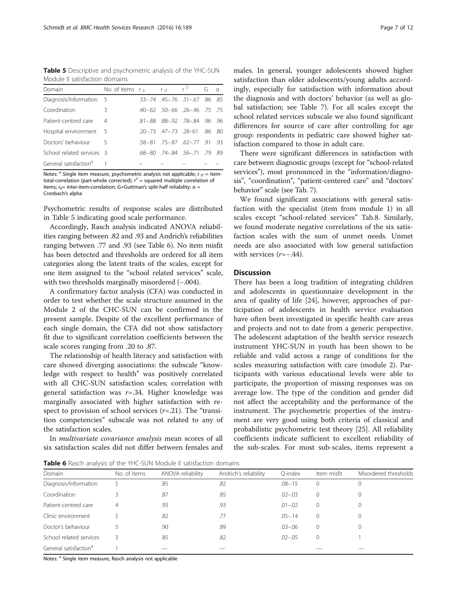Table 5 Descriptive and psychometric analysis of the YHC-SUN Module II satisfaction domains

| Domain                            | No. of items $r_{\parallel}$ $r_{\parallel}$ $r^2$ |                                                 | G | $\alpha$ |
|-----------------------------------|----------------------------------------------------|-------------------------------------------------|---|----------|
| Diagnosis/Information 5           |                                                    | $.33 - .74$ $.45 - .76$ $.31 - .67$ $.86$ $.85$ |   |          |
| Coordination                      | 3                                                  | $-40-62$ $-50-66$ $-26-46$ $-75$ $-75$          |   |          |
| Patient-centred care              | 4                                                  | $.81 - .88$ $.88 - .92$ $.78 - .84$ $.96$ $.96$ |   |          |
| Hospital environment 5            |                                                    | 20 - 73 47 - 73 28 - 61 86 80                   |   |          |
| Doctors' behaviour                | - 5                                                | $.58 - .81$ $.75 - .87$ $.62 - .77$ $.91$ $.93$ |   |          |
| School related services 3         |                                                    | $.68 - .80$ $.74 - .84$ $.56 - .71$ $.79$ $.89$ |   |          |
| General satisfaction <sup>a</sup> |                                                    |                                                 |   |          |

Notes: <sup>a</sup> Single item measure, psychometric analysis not applicable;  $r_{\text{IT}} =$  itemtotal-correlation (part-whole corrected);  $r^2$  = squared multiple correlation of items;  $r_{\parallel}$ = inter-item-correlation; G=Guttman's split-half reliability;  $\alpha$  = Cronbach's alpha

Psychometric results of response scales are distributed in Table 5 indicating good scale performance.

Accordingly, Rasch analysis indicated ANOVA reliabilities ranging between .82 and .93 and Andrich's reliabilities ranging between .77 and .93 (see Table 6). No item misfit has been detected and thresholds are ordered for all item categories along the latent traits of the scales, except for one item assigned to the "school related services" scale, with two thresholds marginally misordered (-.004).

A confirmatory factor analysis (CFA) was conducted in order to test whether the scale structure assumed in the Module 2 of the CHC-SUN can be confirmed in the present sample. Despite of the excellent performance of each single domain, the CFA did not show satisfactory fit due to significant correlation coefficients between the scale scores ranging from .20 to .87.

The relationship of health literacy and satisfaction with care showed diverging associations: the subscale "knowledge with respect to health" was positively correlated with all CHC-SUN satisfaction scales; correlation with general satisfaction was  $r = .34$ . Higher knowledge was marginally associated with higher satisfaction with respect to provision of school services  $(r=.21)$ . The "transition competencies" subscale was not related to any of the satisfaction scales.

In multivariate covariance analysis mean scores of all six satisfaction scales did not differ between females and

males. In general, younger adolescents showed higher satisfaction than older adolescents/young adults accordingly, especially for satisfaction with information about the diagnosis and with doctors' behavior (as well as global satisfaction; see Table 7). For all scales except the school related services subscale we also found significant differences for source of care after controlling for age group: respondents in pediatric care showed higher satisfaction compared to those in adult care.

There were significant differences in satisfaction with care between diagnostic groups (except for "school-related services"), most pronounced in the "information/diagnosis", "coordination", "patient-centered care" and "doctors' behavior" scale (see Tab. 7).

We found significant associations with general satisfaction with the specialist (item from module 1) in all scales except "school-related services" Tab.8. Similarly, we found moderate negative correlations of the six satisfaction scales with the sum of unmet needs. Unmet needs are also associated with low general satisfaction with services (r=−.44).

## **Discussion**

There has been a long tradition of integrating children and adolescents in questionnaire development in the area of quality of life [24], however, approaches of participation of adolescents in health service evaluation have often been investigated in specific health care areas and projects and not to date from a generic perspective. The adolescent adaptation of the health service research instrument YHC-SUN in youth has been shown to be reliable and valid across a range of conditions for the scales measuring satisfaction with care (module 2). Participants with various educational levels were able to participate, the proportion of missing responses was on average low. The type of the condition and gender did not affect the acceptability and the performance of the instrument. The psychometric properties of the instrument are very good using both criteria of classical and probabilistic psychometric test theory [25]. All reliability coefficients indicate sufficient to excellent reliability of the sub-scales. For most sub-scales, items represent a

Table 6 Rasch analysis of the YHC-SUN Module II satisfaction domains

| Domain                            | No. of items | ANOVA reliability | Andrich's reliability | O-index     | Item misfit | Misordered thresholds |  |
|-----------------------------------|--------------|-------------------|-----------------------|-------------|-------------|-----------------------|--|
| Diagnosis/Information             |              | .85               | .82                   | $.08 - .15$ |             |                       |  |
| Coordination                      |              | .87               | .85                   | $.02 - .03$ |             |                       |  |
| Patient-centred care              |              | .93               | .93                   | $.01 - .02$ |             |                       |  |
| Clinic environment                |              | .82               | .77                   | $.05 - .14$ |             |                       |  |
| Doctor's behaviour                |              | .90               | .89                   | $.03 - .06$ |             |                       |  |
| School related services           |              | .85               | .82                   | $.02 - .05$ |             |                       |  |
| General satisfaction <sup>a</sup> |              |                   |                       |             |             |                       |  |

Notes: <sup>a</sup> Single item measure, Rasch analysis not applicable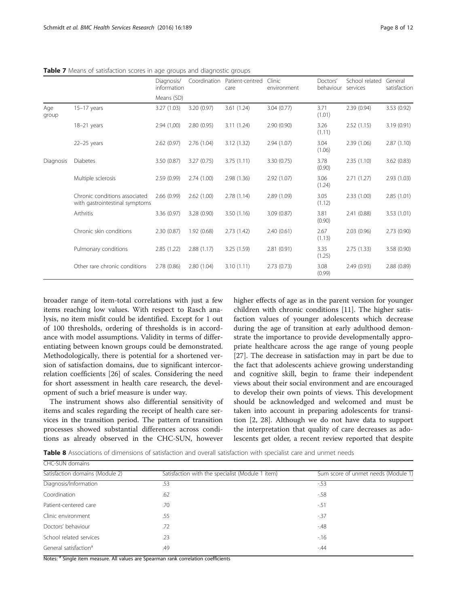|              |                                                                 | Diagnosis/<br>information | Coordination | Patient-centred<br>care | Clinic<br>environment | Doctors'<br>behaviour services | School related | General<br>satisfaction |
|--------------|-----------------------------------------------------------------|---------------------------|--------------|-------------------------|-----------------------|--------------------------------|----------------|-------------------------|
|              |                                                                 | Means (SD)                |              |                         |                       |                                |                |                         |
| Age<br>group | $15-17$ years                                                   | 3.27(1.03)                | 3.20(0.97)   | 3.61(1.24)              | 3.04(0.77)            | 3.71<br>(1.01)                 | 2.39(0.94)     | 3.53(0.92)              |
|              | 18-21 years                                                     | 2.94(1,00)                | 2.80(0.95)   | 3.11(1.24)              | 2.90(0.90)            | 3.26<br>(1.11)                 | 2.52(1.15)     | 3.19(0.91)              |
|              | $22-25$ years                                                   | 2.62(0.97)                | 2.76(1.04)   | 3.12(1.32)              | 2.94(1.07)            | 3.04<br>(1.06)                 | 2.39(1.06)     | 2.87(1.10)              |
| Diagnosis    | <b>Diabetes</b>                                                 | 3.50(0.87)                | 3.27(0.75)   | 3.75(1.11)              | 3.30(0.75)            | 3.78<br>(0.90)                 | 2.35(1.10)     | 3.62(0.83)              |
|              | Multiple sclerosis                                              | 2.59(0.99)                | 2.74(1.00)   | 2.98(1.36)              | 2.92(1.07)            | 3.06<br>(1.24)                 | 2.71(1.27)     | 2.93(1.03)              |
|              | Chronic conditions associated<br>with gastrointestinal symptoms | 2.66(0.99)                | 2.62(1.00)   | 2.78(1.14)              | 2.89(1.09)            | 3.05<br>(1.12)                 | 2.33(1.00)     | 2.85(1.01)              |
|              | Arthritis                                                       | 3.36 (0.97)               | 3.28(0.90)   | 3.50(1.16)              | 3.09(0.87)            | 3.81<br>(0.90)                 | 2.41(0.88)     | 3.53(1.01)              |
|              | Chronic skin conditions                                         | 2.30(0.87)                | 1.92(0.68)   | 2.73(1.42)              | 2.40(0.61)            | 2.67<br>(1.13)                 | 2.03(0.96)     | 2.73(0.90)              |
|              | Pulmonary conditions                                            | 2.85(1.22)                | 2.88(1.17)   | 3.25(1.59)              | 2.81(0.91)            | 3.35<br>(1.25)                 | 2.75(1.33)     | 3.58 (0.90)             |
|              | Other rare chronic conditions                                   | 2.78(0.86)                | 2.80(1.04)   | 3.10(1.11)              | 2.73(0.73)            | 3.08<br>(0.99)                 | 2.49(0.93)     | 2.88(0.89)              |

Table 7 Means of satisfaction scores in age groups and diagnostic groups

broader range of item-total correlations with just a few items reaching low values. With respect to Rasch analysis, no item misfit could be identified. Except for 1 out of 100 thresholds, ordering of thresholds is in accordance with model assumptions. Validity in terms of differentiating between known groups could be demonstrated. Methodologically, there is potential for a shortened version of satisfaction domains, due to significant intercorrelation coefficients [26] of scales. Considering the need for short assessment in health care research, the development of such a brief measure is under way.

The instrument shows also differential sensitivity of items and scales regarding the receipt of health care services in the transition period. The pattern of transition processes showed substantial differences across conditions as already observed in the CHC-SUN, however higher effects of age as in the parent version for younger children with chronic conditions [11]. The higher satisfaction values of younger adolescents which decrease during the age of transition at early adulthood demonstrate the importance to provide developmentally appropriate healthcare across the age range of young people [27]. The decrease in satisfaction may in part be due to the fact that adolescents achieve growing understanding and cognitive skill, begin to frame their independent views about their social environment and are encouraged to develop their own points of views. This development should be acknowledged and welcomed and must be taken into account in preparing adolescents for transition [2, 28]. Although we do not have data to support the interpretation that quality of care decreases as adolescents get older, a recent review reported that despite

Table 8 Associations of dimensions of satisfaction and overall satisfaction with specialist care and unmet needs

| CHC-SUN domains                   |                                                  |                                     |
|-----------------------------------|--------------------------------------------------|-------------------------------------|
| Satisfaction domains (Module 2)   | Satisfaction with the specialist (Module 1 item) | Sum score of unmet needs (Module 1) |
| Diagnosis/Information             | .53                                              | $-53$                               |
| Coordination                      | .62                                              | $-58$                               |
| Patient-centered care             | .70                                              | $-51$                               |
| Clinic environment                | .55                                              | $-37$                               |
| Doctors' behaviour                | .72                                              | $-48$                               |
| School related services           | .23                                              | $-16$                               |
| General satisfaction <sup>a</sup> | .49                                              | $-44$                               |
|                                   |                                                  |                                     |

Notes: <sup>a</sup> Single item measure. All values are Spearman rank correlation coefficients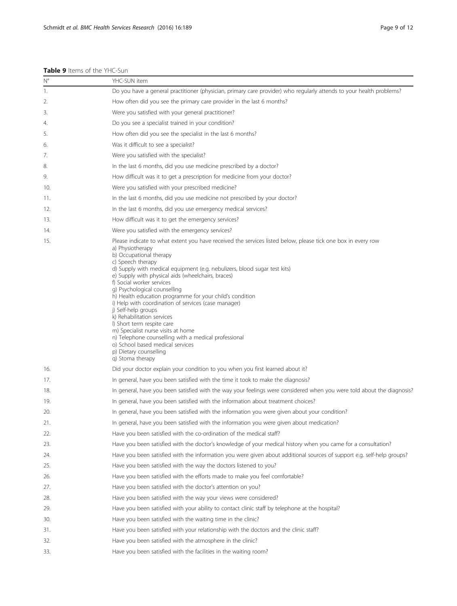## Table 9 Items of the YHC-Sun

| $N^{\circ}$ | YHC-SUN item                                                                                                                                                                                                                                                                                                                                                                                                                                                                                                                                                                                                                                                                                                                                                            |
|-------------|-------------------------------------------------------------------------------------------------------------------------------------------------------------------------------------------------------------------------------------------------------------------------------------------------------------------------------------------------------------------------------------------------------------------------------------------------------------------------------------------------------------------------------------------------------------------------------------------------------------------------------------------------------------------------------------------------------------------------------------------------------------------------|
| 1.          | Do you have a general practitioner (physician, primary care provider) who regularly attends to your health problems?                                                                                                                                                                                                                                                                                                                                                                                                                                                                                                                                                                                                                                                    |
| 2.          | How often did you see the primary care provider in the last 6 months?                                                                                                                                                                                                                                                                                                                                                                                                                                                                                                                                                                                                                                                                                                   |
| 3.          | Were you satisfied with your general practitioner?                                                                                                                                                                                                                                                                                                                                                                                                                                                                                                                                                                                                                                                                                                                      |
| 4.          | Do you see a specialist trained in your condition?                                                                                                                                                                                                                                                                                                                                                                                                                                                                                                                                                                                                                                                                                                                      |
| 5.          | How often did you see the specialist in the last 6 months?                                                                                                                                                                                                                                                                                                                                                                                                                                                                                                                                                                                                                                                                                                              |
| 6.          | Was it difficult to see a specialist?                                                                                                                                                                                                                                                                                                                                                                                                                                                                                                                                                                                                                                                                                                                                   |
| 7.          | Were you satisfied with the specialist?                                                                                                                                                                                                                                                                                                                                                                                                                                                                                                                                                                                                                                                                                                                                 |
| 8.          | In the last 6 months, did you use medicine prescribed by a doctor?                                                                                                                                                                                                                                                                                                                                                                                                                                                                                                                                                                                                                                                                                                      |
| 9.          | How difficult was it to get a prescription for medicine from your doctor?                                                                                                                                                                                                                                                                                                                                                                                                                                                                                                                                                                                                                                                                                               |
| 10.         | Were you satisfied with your prescribed medicine?                                                                                                                                                                                                                                                                                                                                                                                                                                                                                                                                                                                                                                                                                                                       |
| 11.         | In the last 6 months, did you use medicine not prescribed by your doctor?                                                                                                                                                                                                                                                                                                                                                                                                                                                                                                                                                                                                                                                                                               |
| 12.         | In the last 6 months, did you use emergency medical services?                                                                                                                                                                                                                                                                                                                                                                                                                                                                                                                                                                                                                                                                                                           |
| 13.         | How difficult was it to get the emergency services?                                                                                                                                                                                                                                                                                                                                                                                                                                                                                                                                                                                                                                                                                                                     |
| 14.         | Were you satisfied with the emergency services?                                                                                                                                                                                                                                                                                                                                                                                                                                                                                                                                                                                                                                                                                                                         |
| 15.         | Please indicate to what extent you have received the services listed below, please tick one box in every row<br>a) Physiotherapy<br>b) Occupational therapy<br>c) Speech therapy<br>d) Supply with medical equipment (e.g. nebulizers, blood sugar test kits)<br>e) Supply with physical aids (wheelchairs, braces)<br>f) Social worker services<br>g) Psychological counselling<br>h) Health education programme for your child's condition<br>i) Help with coordination of services (case manager)<br>j) Self-help groups<br>k) Rehabilitation services<br>I) Short term respite care<br>m) Specialist nurse visits at home<br>n) Telephone counselling with a medical professional<br>o) School based medical services<br>p) Dietary counselling<br>q) Stoma therapy |
| 16.         | Did your doctor explain your condition to you when you first learned about it?                                                                                                                                                                                                                                                                                                                                                                                                                                                                                                                                                                                                                                                                                          |
| 17.         | In general, have you been satisfied with the time it took to make the diagnosis?                                                                                                                                                                                                                                                                                                                                                                                                                                                                                                                                                                                                                                                                                        |
| 18.         | In general, have you been satisfied with the way your feelings were considered when you were told about the diagnosis?                                                                                                                                                                                                                                                                                                                                                                                                                                                                                                                                                                                                                                                  |
| 19.         | In general, have you been satisfied with the information about treatment choices?                                                                                                                                                                                                                                                                                                                                                                                                                                                                                                                                                                                                                                                                                       |
| 20.         | In general, have you been satisfied with the information you were given about your condition?                                                                                                                                                                                                                                                                                                                                                                                                                                                                                                                                                                                                                                                                           |
| 21.         | In general, have you been satisfied with the information you were given about medication?                                                                                                                                                                                                                                                                                                                                                                                                                                                                                                                                                                                                                                                                               |
| 22.         | Have you been satisfied with the co-ordination of the medical staff?                                                                                                                                                                                                                                                                                                                                                                                                                                                                                                                                                                                                                                                                                                    |
| 23.         | Have you been satisfied with the doctor's knowledge of your medical history when you came for a consultation?                                                                                                                                                                                                                                                                                                                                                                                                                                                                                                                                                                                                                                                           |
| 24.         | Have you been satisfied with the information you were given about additional sources of support e.g. self-help groups?                                                                                                                                                                                                                                                                                                                                                                                                                                                                                                                                                                                                                                                  |
| 25.         | Have you been satisfied with the way the doctors listened to you?                                                                                                                                                                                                                                                                                                                                                                                                                                                                                                                                                                                                                                                                                                       |
| 26.         | Have you been satisfied with the efforts made to make you feel comfortable?                                                                                                                                                                                                                                                                                                                                                                                                                                                                                                                                                                                                                                                                                             |
| 27.         | Have you been satisfied with the doctor's attention on you?                                                                                                                                                                                                                                                                                                                                                                                                                                                                                                                                                                                                                                                                                                             |
| 28.         | Have you been satisfied with the way your views were considered?                                                                                                                                                                                                                                                                                                                                                                                                                                                                                                                                                                                                                                                                                                        |
| 29.         | Have you been satisfied with your ability to contact clinic staff by telephone at the hospital?                                                                                                                                                                                                                                                                                                                                                                                                                                                                                                                                                                                                                                                                         |
| 30.         | Have you been satisfied with the waiting time in the clinic?                                                                                                                                                                                                                                                                                                                                                                                                                                                                                                                                                                                                                                                                                                            |
| 31.         | Have you been satisfied with your relationship with the doctors and the clinic staff?                                                                                                                                                                                                                                                                                                                                                                                                                                                                                                                                                                                                                                                                                   |
| 32.         | Have you been satisfied with the atmosphere in the clinic?                                                                                                                                                                                                                                                                                                                                                                                                                                                                                                                                                                                                                                                                                                              |
| 33.         | Have you been satisfied with the facilities in the waiting room?                                                                                                                                                                                                                                                                                                                                                                                                                                                                                                                                                                                                                                                                                                        |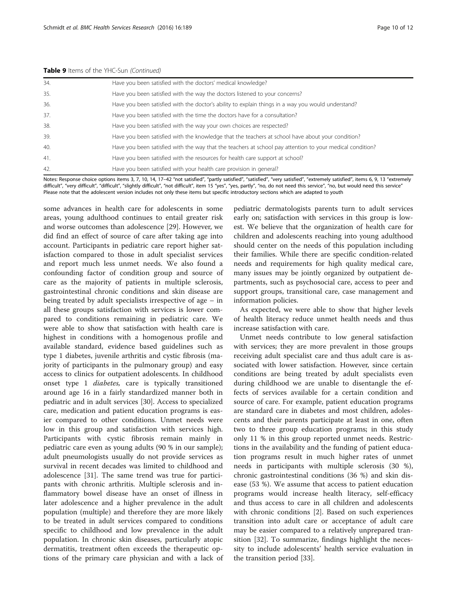| 34. | Have you been satisfied with the doctors' medical knowledge?                                              |
|-----|-----------------------------------------------------------------------------------------------------------|
| 35. | Have you been satisfied with the way the doctors listened to your concerns?                               |
| 36. | Have you been satisfied with the doctor's ability to explain things in a way you would understand?        |
| 37. | Have you been satisfied with the time the doctors have for a consultation?                                |
| 38. | Have you been satisfied with the way your own choices are respected?                                      |
| 39. | Have you been satisfied with the knowledge that the teachers at school have about your condition?         |
| 40. | Have you been satisfied with the way that the teachers at school pay attention to your medical condition? |
| 41. | Have you been satisfied with the resources for health care support at school?                             |
| 42. | Have you been satisfied with your health care provision in general?                                       |

Notes: Response choice options items 3, 7, 10, 14, 17-42 "not satisfied", "partly satisfied", "satisfied", "very satisfied", "extremely satisfied", items 6, 9, 13 "extremely difficult", "very difficult", "difficult", "slightly difficult", "not difficult", item 15 "yes", "yes, partly", "no, do not need this service", "no, but would need this service" Please note that the adolescent version includes not only these items but specific introductory sections which are adapted to youth

some advances in health care for adolescents in some areas, young adulthood continues to entail greater risk and worse outcomes than adolescence [29]. However, we did find an effect of source of care after taking age into account. Participants in pediatric care report higher satisfaction compared to those in adult specialist services and report much less unmet needs. We also found a confounding factor of condition group and source of care as the majority of patients in multiple sclerosis, gastrointestinal chronic conditions and skin disease are being treated by adult specialists irrespective of age – in all these groups satisfaction with services is lower compared to conditions remaining in pediatric care. We were able to show that satisfaction with health care is highest in conditions with a homogenous profile and available standard, evidence based guidelines such as type 1 diabetes, juvenile arthritis and cystic fibrosis (majority of participants in the pulmonary group) and easy access to clinics for outpatient adolescents. In childhood onset type 1 diabetes, care is typically transitioned around age 16 in a fairly standardized manner both in pediatric and in adult services [30]. Access to specialized care, medication and patient education programs is easier compared to other conditions. Unmet needs were low in this group and satisfaction with services high. Participants with cystic fibrosis remain mainly in pediatric care even as young adults (90 % in our sample); adult pneumologists usually do not provide services as survival in recent decades was limited to childhood and adolescence [31]. The same trend was true for participants with chronic arthritis. Multiple sclerosis and inflammatory bowel disease have an onset of illness in later adolescence and a higher prevalence in the adult population (multiple) and therefore they are more likely to be treated in adult services compared to conditions specific to childhood and low prevalence in the adult population. In chronic skin diseases, particularly atopic dermatitis, treatment often exceeds the therapeutic options of the primary care physician and with a lack of

pediatric dermatologists parents turn to adult services early on; satisfaction with services in this group is lowest. We believe that the organization of health care for children and adolescents reaching into young adulthood should center on the needs of this population including their families. While there are specific condition-related needs and requirements for high quality medical care, many issues may be jointly organized by outpatient departments, such as psychosocial care, access to peer and support groups, transitional care, case management and information policies.

As expected, we were able to show that higher levels of health literacy reduce unmet health needs and thus increase satisfaction with care.

Unmet needs contribute to low general satisfaction with services; they are more prevalent in those groups receiving adult specialist care and thus adult care is associated with lower satisfaction. However, since certain conditions are being treated by adult specialists even during childhood we are unable to disentangle the effects of services available for a certain condition and source of care. For example, patient education programs are standard care in diabetes and most children, adolescents and their parents participate at least in one, often two to three group education programs; in this study only 11 % in this group reported unmet needs. Restrictions in the availability and the funding of patient education programs result in much higher rates of unmet needs in participants with multiple sclerosis (30 %), chronic gastrointestinal conditions (36 %) and skin disease (53 %). We assume that access to patient education programs would increase health literacy, self-efficacy and thus access to care in all children and adolescents with chronic conditions [2]. Based on such experiences transition into adult care or acceptance of adult care may be easier compared to a relatively unprepared transition [32]. To summarize, findings highlight the necessity to include adolescents' health service evaluation in the transition period [33].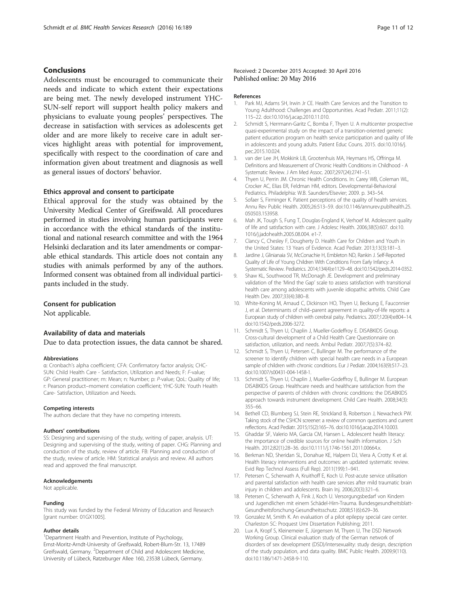## **Conclusions**

Adolescents must be encouraged to communicate their needs and indicate to which extent their expectations are being met. The newly developed instrument YHC-SUN-self report will support health policy makers and physicians to evaluate young peoples' perspectives. The decrease in satisfaction with services as adolescents get older and are more likely to receive care in adult services highlight areas with potential for improvement, specifically with respect to the coordination of care and information given about treatment and diagnosis as well as general issues of doctors' behavior.

## Ethics approval and consent to participate

Ethical approval for the study was obtained by the University Medical Center of Greifswald. All procedures performed in studies involving human participants were in accordance with the ethical standards of the institutional and national research committee and with the 1964 Helsinki declaration and its later amendments or comparable ethical standards. This article does not contain any studies with animals performed by any of the authors. Informed consent was obtained from all individual participants included in the study.

## Consent for publication

Not applicable.

## Availability of data and materials

Due to data protection issues, the data cannot be shared.

### **Abbreviations**

α: Cronbach's alpha coefficient; CFA: Confirmatory factor analysis; CHC-SUN: Child Health Care - Satisfaction, Utilization and Needs; F: F-value; GP: General practitioner; m: Mean; n: Number; p: P-value; QoL: Quality of life; r: Pearson product–moment correlation coefficient; YHC-SUN: Youth Health Care- Satisfaction, Utilization and Needs.

## Competing interests

The authors declare that they have no competing interests.

#### Authors' contributions

SS: Designing and supervising of the study, writing of paper, analysis. UT: Designing and supervising of the study, writing of paper. CHG: Planning and conduction of the study, review of article. FB: Planning and conduction of the study, review of article. HM: Statistical analysis and review. All authors read and approved the final manuscript.

#### Acknowledgements

Not applicable.

#### Funding

This study was funded by the Federal Ministry of Education and Research [grant number: 01GX1005].

#### Author details

<sup>1</sup>Department Health and Prevention, Institute of Psychology, Ernst-Moritz-Arndt-University of Greifswald, Robert-Blum-Str. 13, 17489 Greifswald, Germany. <sup>2</sup>Department of Child and Adolescent Medicine, University of Lübeck, Ratzeburger Allee 160, 23538 Lübeck, Germany.

#### References

- 1. Park MJ, Adams SH, Irwin Jr CE. Health Care Services and the Transition to Young Adulthood: Challenges and Opportunities. Acad Pediatr. 2011;11(2): 115–22. doi:10.1016/j.acap.2010.11.010.
- 2. Schmidt S, Herrmann-Garitz C, Bomba F, Thyen U. A multicenter prospective quasi-experimental study on the impact of a transition-oriented generic patient education program on health service participation and quality of life in adolescents and young adults. Patient Educ Couns. 2015. doi:10.1016/j. pec.2015.10.024.
- 3. van der Lee JH, Mokkink LB, Grootenhuis MA, Heymans HS, Offringa M. Definitions and Measurement of Chronic Health Conditions in Childhood - A Systematic Review. J Am Med Assoc. 2007;297(24):2741–51.
- 4. Thyen U, Perrin JM. Chronic Health Conditions. In: Carey WB, Coleman WL, Crocker AC, Elias ER, Feldman HM, editors. Developmental-Behavioral Pediatrics. Philadelphia: W.B. Saunders/Elsevier; 2009. p. 343–54.
- 5. Sofaer S, Firminger K. Patient perceptions of the quality of health services. Annu Rev Public Health. 2005;26:513–59. doi:10.1146/annurev.publhealth.25. 050503.153958.
- 6. Mah JK, Tough S, Fung T, Douglas-England K, Verhoef M. Adolescent quality of life and satisfaction with care. J Adolesc Health. 2006;38(5):607. doi:10. 1016/j.jadohealth.2005.08.004. e1-7.
- 7. Clancy C, Chesley F, Dougherty D. Health Care for Children and Youth in the United States: 13 Years of Evidence. Acad Pediatr. 2013;13(3):181–3.
- 8. Jardine J, Glinianaia SV, McConachie H, Embleton ND, Rankin J. Self-Reported Quality of Life of Young Children With Conditions From Early Infancy: A Systematic Review. Pediatrics. 2014;134(4):e1129–48. doi:10.1542/peds.2014-0352.
- 9. Shaw KL, Southwood TR, McDonagh JE. Development and preliminary validation of the 'Mind the Gap' scale to assess satisfaction with transitional health care among adolescents with juvenile idiopathic arthritis. Child Care Health Dev. 2007;33(4):380–8.
- 10. White-Koning M, Arnaud C, Dickinson HO, Thyen U, Beckung E, Fauconnier J, et al. Determinants of child–parent agreement in quality-of-life reports: a European study of children with cerebral palsy. Pediatrics. 2007;120(4):e804–14. doi:10.1542/peds.2006-3272.
- 11. Schmidt S, Thyen U, Chaplin J, Mueller-Godeffroy E. DISABKIDS Group. Cross-cultural development of a Child Health Care Questionnaire on satisfaction, utilization, and needs. Ambul Pediatr. 2007;7(5):374–82.
- 12. Schmidt S, Thyen U, Petersen C, Bullinger M. The performance of the screener to identify children with special health care needs in a European sample of children with chronic conditions. Eur J Pediatr. 2004;163(9):517–23. doi:10.1007/s00431-004-1458-1.
- 13. Schmidt S, Thyen U, Chaplin J, Mueller-Godeffroy E, Bullinger M. European DISABKIDS Group. Healthcare needs and healthcare satisfaction from the perspective of parents of children with chronic conditions: the DISABKIDS approach towards instrument development. Child Care Health. 2008;34(3): 355–66.
- 14. Bethell CD, Blumberg SJ, Stein RE, Strickland B, Robertson J, Newacheck PW. Taking stock of the CSHCN screener: a review of common questions and current reflections. Acad Pediatr. 2015;15(2):165–76. doi:10.1016/j.acap.2014.10.003.
- 15. Ghaddar SF, Valerio MA, Garcia CM, Hansen L. Adolescent health literacy: the importance of credible sources for online health information. J Sch Health. 2012;82(1):28–36. doi:10.1111/j.1746-1561.2011.00664.x.
- 16. Berkman ND, Sheridan SL, Donahue KE, Halpern DJ, Viera A, Crotty K et al. Health literacy interventions and outcomes: an updated systematic review. Evid Rep Technol Assess (Full Rep). 2011(199):1–941.
- 17. Petersen C, Scherwath A, Kruithoff E, Koch U. Post-acute service utilisation and parental satisfaction with health care services after mild traumatic brain injury in children and adolescents. Brain Inj. 2006;20(3):321–6.
- 18. Petersen C, Scherwath A, Fink J, Koch U. Versorgungsbedarf von Kindern und Jugendlichen mit einem Schädel-Hirn-Trauma. Bundesgesundheitsblatt-Gesundheitsforschung-Gesundheitsschutz. 2008;51(6):629–36.
- 19. Gonzalez M, Smith K. An evaluation of a pilot epilepsy special care center. Charleston SC: Proquest Umi Dissertation Publishing; 2011.
- 20. Lux A, Kropf S, Kleinemeier E, Jürgensen M, Thyen U, The DSD Network Working Group. Clinical evaluation study of the German network of disorders of sex development (DSD)/intersexuality: study design, description of the study population, and data quality. BMC Public Health. 2009;9(110). doi:10.1186/1471-2458-9-110.